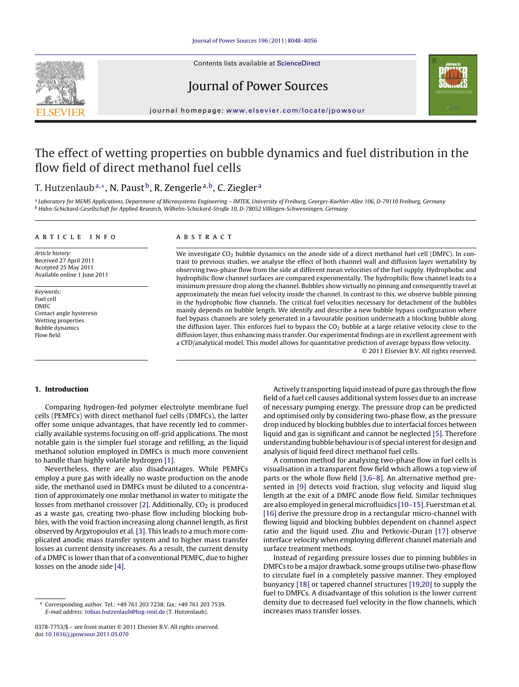Contents lists available at [ScienceDirect](http://www.sciencedirect.com/science/journal/03787753)







journal homepage: [www.elsevier.com/locate/jpowsour](http://www.elsevier.com/locate/jpowsour)

# The effect of wetting properties on bubble dynamics and fuel distribution in the flow field of direct methanol fuel cells

## T. Hutzenlaub<sup>a,∗</sup>, N. Paust<sup>b</sup>, R. Zengerle<sup>a,b</sup>, C. Ziegler<sup>a</sup>

a Laboratory for MEMS Applications, Department of Microsystems Engineering - IMTEK, University of Freiburg, Georges-Koehler-Allee 106, D-79110 Freiburg, Germany <sup>b</sup> Hahn-Schickard-Gesellschaft for Applied Research, Wilhelm-Schickard-Straße 10, D-78052 Villingen-Schwenningen, Germany

## a r t i c l e i n f o

Article history: Received 27 April 2011 Accepted 25 May 2011 Available online 1 June 2011

Keywords: Fuel cell DMFC Contact angle hysteresis Wetting properties Bubble dynamics Flow field

#### A B S T R A C T

We investigate  $CO<sub>2</sub>$  bubble dynamics on the anode side of a direct methanol fuel cell (DMFC). In contrast to previous studies, we analyse the effect of both channel wall and diffusion layer wettability by observing two-phase flow from the side at different mean velocities of the fuel supply. Hydrophobic and hydrophilic flow channel surfaces are compared experimentally. The hydrophilic flow channel leads to a minimum pressure drop along the channel. Bubbles show virtually no pinning and consequently travel at approximately the mean fuel velocity inside the channel. In contrast to this, we observe bubble pinning in the hydrophobic flow channels. The critical fuel velocities necessary for detachment of the bubbles mainly depends on bubble length. We identify and describe a new bubble bypass configuration where fuel bypass channels are solely generated in a favourable position underneath a blocking bubble along the diffusion layer. This enforces fuel to bypass the  $CO<sub>2</sub>$  bubble at a large relative velocity close to the diffusion layer, thus enhancing mass transfer. Our experimental findings are in excellent agreement with a CFD/analytical model. This model allows for quantitative prediction of average bypass flow velocity.

© 2011 Elsevier B.V. All rights reserved.

## **1. Introduction**

Comparing hydrogen-fed polymer electrolyte membrane fuel cells (PEMFCs) with direct methanol fuel cells (DMFCs), the latter offer some unique advantages, that have recently led to commercially available systems focusing on off-grid applications. The most notable gain is the simpler fuel storage and refilling, as the liquid methanol solution employed in DMFCs is much more convenient to handle than highly volatile hydrogen [\[1\].](#page-8-0)

Nevertheless, there are also disadvantages. While PEMFCs employ a pure gas with ideally no waste production on the anode side, the methanol used in DMFCs must be diluted to a concentration of approximately one molar methanol in water to mitigate the losses from methanol crossover [\[2\].](#page-8-0) Additionally,  $CO<sub>2</sub>$  is produced as a waste gas, creating two-phase flow including blocking bubbles, with the void fraction increasing along channel length, as first observed by Argyropoulos et al.[\[3\].](#page-8-0) This leads to a much more complicated anodic mass transfer system and to higher mass transfer losses as current density increases. As a result, the current density of a DMFC is lower than that of a conventional PEMFC, due to higher losses on the anode side [\[4\].](#page-8-0)

Actively transporting liquid instead of pure gas through the flow field of a fuel cell causes additional system losses due to an increase of necessary pumping energy. The pressure drop can be predicted and optimised only by considering two-phase flow, as the pressure drop induced by blocking bubbles due to interfacial forces between liquid and gas is significant and cannot be neglected [\[5\].](#page-8-0) Therefore understanding bubble behaviour is of special interestfor design and analysis of liquid feed direct methanol fuel cells.

A common method for analysing two-phase flow in fuel cells is visualisation in a transparent flow field which allows a top view of parts or the whole flow field [\[3,6–8\].](#page-8-0) An alternative method presented in [\[9\]](#page-8-0) detects void fraction, slug velocity and liquid slug length at the exit of a DMFC anode flow field. Similar techniques are also employed in general microfluidics [\[10–15\].](#page-8-0) Fuerstman et al. [\[16\]](#page-8-0) derive the pressure drop in a rectangular micro-channel with flowing liquid and blocking bubbles dependent on channel aspect ratio and the liquid used. Zhu and Petkovic-Duran [\[17\]](#page-8-0) observe interface velocity when employing different channel materials and surface treatment methods.

Instead of regarding pressure losses due to pinning bubbles in DMFCs to be a major drawback, some groups utilise two-phase flow to circulate fuel in a completely passive manner. They employed buoyancy [\[18\]](#page-8-0) or tapered channel structures [\[19,20\]](#page-8-0) to supply the fuel to DMFCs. A disadvantage of this solution is the lower current density due to decreased fuel velocity in the flow channels, which increases mass transfer losses.

<sup>∗</sup> Corresponding author. Tel.: +49 761 203 7238; fax: +49 761 203 7539. E-mail address: [tobias.hutzenlaub@hsg-imit.de](mailto:tobias.hutzenlaub@hsg-imit.de) (T. Hutzenlaub).

<sup>0378-7753/\$</sup> – see front matter © 2011 Elsevier B.V. All rights reserved. doi:[10.1016/j.jpowsour.2011.05.070](dx.doi.org/10.1016/j.jpowsour.2011.05.070)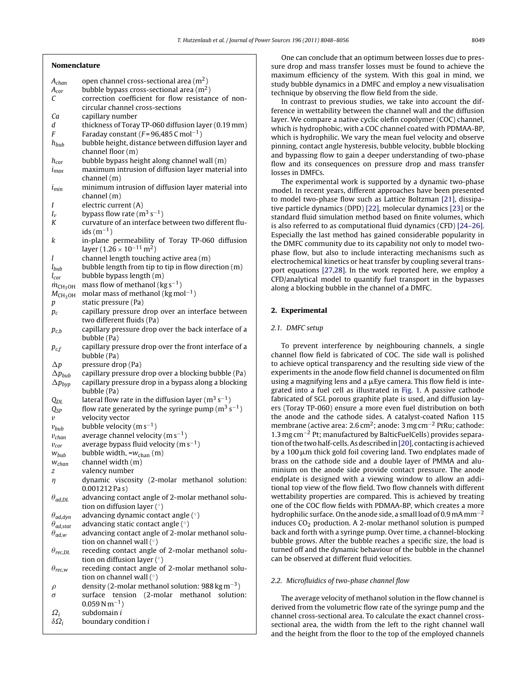| $A_{chan}$                       | open channel cross-sectional area $(m2)$                      |
|----------------------------------|---------------------------------------------------------------|
| $A_{cor}$                        | bubble bypass cross-sectional area $(m2)$                     |
| C                                | correction coefficient for flow resistance of non-            |
|                                  | circular channel cross-sections                               |
| Сa                               | capillary number                                              |
| d                                | thickness of Toray TP-060 diffusion layer (0.19 mm)           |
| F                                | Faraday constant ( $F = 96,485$ C mol <sup>-1</sup> )         |
| $h_{buh}$                        | bubble height, distance between diffusion layer and           |
|                                  | channel floor (m)                                             |
| $h_{cor}$                        | bubble bypass height along channel wall (m)                   |
| İmax                             | maximum intrusion of diffusion layer material into            |
|                                  | channel (m)                                                   |
| $i_{min}$                        | minimum intrusion of diffusion layer material into            |
|                                  | channel (m)                                                   |
| Ι                                | electric current (A)                                          |
| $I_{\nu}$                        | bypass flow rate $(m^3 s^{-1})$                               |
| Κ                                | curvature of an interface between two different flu-          |
|                                  | ids $(m^{-1})$                                                |
| k                                | in-plane permeability of Toray TP-060 diffusion               |
|                                  | layer $(1.26 \times 10^{-11} \text{ m}^2)$                    |
|                                  |                                                               |
| l                                | channel length touching active area (m)                       |
| $l_{bub}$                        | bubble length from tip to tip in flow direction (m)           |
| $l_{cor}$                        | bubble bypass length (m)                                      |
| $\dot{m}_{\text{CH}_3\text{OH}}$ | mass flow of methanol ( $\text{kg s}^{-1}$ )                  |
| M <sub>CH<sub>3</sub>OH</sub>    | molar mass of methanol ( $kg$ mol <sup>-1</sup> )             |
| p                                | static pressure (Pa)                                          |
| $p_c$                            | capillary pressure drop over an interface between             |
|                                  | two different fluids (Pa)                                     |
| $p_{c,b}$                        | capillary pressure drop over the back interface of a          |
|                                  | bubble (Pa)                                                   |
| $p_{c,f}$                        | capillary pressure drop over the front interface of a         |
|                                  | bubble (Pa)                                                   |
| $\Delta p$                       | pressure drop (Pa)                                            |
| $\Delta p_{bub}$                 | capillary pressure drop over a blocking bubble (Pa)           |
| $\Delta p_{hyp}$                 | capillary pressure drop in a bypass along a blocking          |
|                                  | bubble (Pa)                                                   |
| Qы.                              | lateral flow rate in the diffusion layer ( $m^3 s^{-1}$ )     |
| $Q_{SP}$                         | flow rate generated by the syringe pump $(m^3 s^{-1})$        |
| $\boldsymbol{\mathit{v}}$        | velocity vector                                               |
| $v_{bub}$                        | bubble velocity $(m s^{-1})$                                  |
| $v_{chan}$                       | average channel velocity ( $ms^{-1}$ )                        |
| $v_{cor}$                        | average bypass fluid velocity $(m s^{-1})$                    |
| $W_{bub}$                        | bubble width, $=w_{\text{chan}}(m)$                           |
| W <sub>chan</sub>                | channel width (m)                                             |
| z                                | valency number                                                |
| η                                | dynamic viscosity (2-molar methanol solution:                 |
|                                  | $0.001212$ Pas)                                               |
| $\theta_{ad,DL}$                 | advancing contact angle of 2-molar methanol solu-             |
|                                  | tion on diffusion layer $(°)$                                 |
| $\theta_{ad,dyn}$                | advancing dynamic contact angle $(°)$                         |
| $\theta_{ad,stat}$               | advancing static contact angle (°)                            |
| $\theta_{ad,w}$                  | advancing contact angle of 2-molar methanol solu-             |
|                                  | tion on channel wall (°)                                      |
| $\theta_{rec,DL}$                | receding contact angle of 2-molar methanol solu-              |
|                                  | tion on diffusion layer (°)                                   |
| $\theta_{rec,w}$                 | receding contact angle of 2-molar methanol solu-              |
|                                  | tion on channel wall $(°)$                                    |
| $\rho$                           | density (2-molar methanol solution: $988 \text{ kg m}^{-3}$ ) |
| σ                                | (2-molar methanol<br>surface tension<br>solution:             |
|                                  | $0.059$ N m <sup>-1</sup> )                                   |
| $\Omega_i$                       | subdomain i                                                   |
| $\delta\varOmega_i$              | boundary condition i                                          |
|                                  |                                                               |

<span id="page-1-0"></span>**Nomenclature**

One can conclude that an optimum between losses due to pressure drop and mass transfer losses must be found to achieve the maximum efficiency of the system. With this goal in mind, we study bubble dynamics in a DMFC and employ a new visualisation technique by observing the flow field from the side.

In contrast to previous studies, we take into account the difference in wettability between the channel wall and the diffusion layer. We compare a native cyclic olefin copolymer (COC) channel, which is hydrophobic, with a COC channel coated with PDMAA-BP, which is hydrophilic. We vary the mean fuel velocity and observe pinning, contact angle hysteresis, bubble velocity, bubble blocking and bypassing flow to gain a deeper understanding of two-phase flow and its consequences on pressure drop and mass transfer losses in DMFCs.

The experimental work is supported by a dynamic two-phase model. In recent years, different approaches have been presented to model two-phase flow such as Lattice Boltzman [\[21\],](#page-8-0) dissipative particle dynamics (DPD) [\[22\],](#page-8-0) molecular dynamics [\[23\]](#page-8-0) or the standard fluid simulation method based on finite volumes, which is also referred to as computational fluid dynamics (CFD) [\[24–26\].](#page-8-0) Especially the last method has gained considerable popularity in the DMFC community due to its capability not only to model twophase flow, but also to include interacting mechanisms such as electrochemical kinetics or heat transfer by coupling several transport equations [\[27,28\].](#page-8-0) In the work reported here, we employ a CFD/analytical model to quantify fuel transport in the bypasses along a blocking bubble in the channel of a DMFC.

## **2. Experimental**

## 2.1. DMFC setup

To prevent interference by neighbouring channels, a single channel flow field is fabricated of COC. The side wall is polished to achieve optical transparency and the resulting side view of the experiments in the anode flow field channel is documented on film using a magnifying lens and a  $\mu$ Eye camera. This flow field is integrated into a fuel cell as illustrated in [Fig.](#page-2-0) 1. A passive cathode fabricated of SGL porous graphite plate is used, and diffusion layers (Toray TP-060) ensure a more even fuel distribution on both the anode and the cathode sides. A catalyst-coated Nafion 115 membrane (active area: 2.6 cm<sup>2</sup>; anode: 3 mg cm<sup>-2</sup> PtRu; cathode: 1.3 mg cm−<sup>2</sup> Pt; manufactured by BalticFuelCells) provides separationofthe twohalf-cells.Asdescribedin[\[20\],](#page-8-0) contacting is achieved by a 100 μm thick gold foil covering land. Two endplates made of brass on the cathode side and a double layer of PMMA and aluminium on the anode side provide contact pressure. The anode endplate is designed with a viewing window to allow an additional top view of the flow field. Two flow channels with different wettability properties are compared. This is achieved by treating one of the COC flow fields with PDMAA-BP, which creates a more hydrophilic surface. On the anode side, a small load of 0.9 mA mm<sup>-2</sup> induces  $CO<sub>2</sub>$  production. A 2-molar methanol solution is pumped back and forth with a syringe pump. Over time, a channel-blocking bubble grows. After the bubble reaches a specific size, the load is turned off and the dynamic behaviour of the bubble in the channel can be observed at different fluid velocities.

## 2.2. Microfluidics of two-phase channel flow

The average velocity of methanol solution in the flow channel is derived from the volumetric flow rate of the syringe pump and the channel cross-sectional area. To calculate the exact channel crosssectional area, the width from the left to the right channel wall and the height from the floor to the top of the employed channels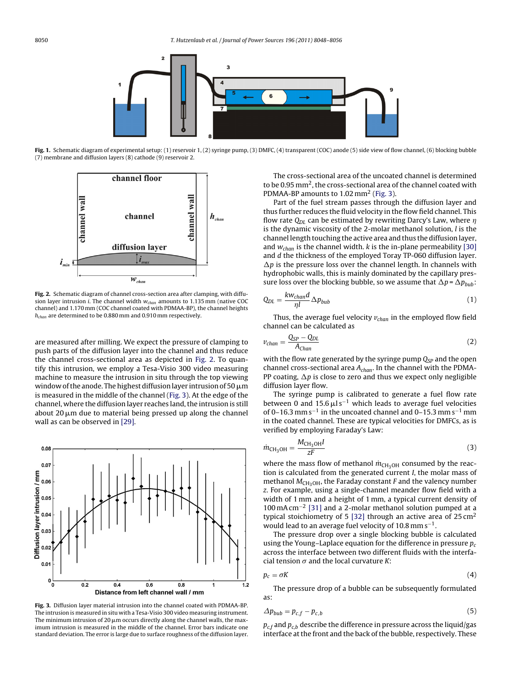<span id="page-2-0"></span>

**Fig. 1.** Schematic diagram of experimental setup: (1) reservoir 1, (2) syringe pump, (3) DMFC, (4) transparent (COC) anode (5) side view of flow channel, (6) blocking bubble (7) membrane and diffusion layers (8) cathode (9) reservoir 2.



**Fig. 2.** Schematic diagram of channel cross-section area after clamping, with diffusion layer intrusion *i*. The channel width  $w_{chan}$  amounts to 1.135 mm (native COC channel) and 1.170 mm (COC channel coated with PDMAA-BP), the channel heights  $h_{chan}$  are determined to be 0.880 mm and 0.910 mm respectively.

are measured after milling. We expect the pressure of clamping to push parts of the diffusion layer into the channel and thus reduce the channel cross-sectional area as depicted in Fig. 2. To quantify this intrusion, we employ a Tesa-Visio 300 video measuring machine to measure the intrusion in situ through the top viewing window of the anode. The highest diffusion layer intrusion of 50  $\mu$ m is measured in the middle of the channel (Fig. 3). At the edge of the channel, where the diffusion layer reaches land, the intrusion is still about 20  $\mu$ m due to material being pressed up along the channel wall as can be observed in [\[29\].](#page-8-0)



**Fig. 3.** Diffusion layer material intrusion into the channel coated with PDMAA-BP. The intrusion is measured in situ with a Tesa-Visio 300 video measuring instrument. The minimum intrusion of 20  $\mu$ m occurs directly along the channel walls, the maximum intrusion is measured in the middle of the channel. Error bars indicate one standard deviation. The error is large due to surface roughness of the diffusion layer.

The cross-sectional area of the uncoated channel is determined to be 0.95 mm2, the cross-sectional area of the channel coated with PDMAA-BP amounts to 1.02 mm<sup>2</sup> (Fig. 3).

Part of the fuel stream passes through the diffusion layer and thus further reduces the fluid velocity in the flow field channel. This flow rate  $Q_{DL}$  can be estimated by rewriting Darcy's Law, where  $n$ is the dynamic viscosity of the 2-molar methanol solution, l is the channel length touching the active area and thus the diffusion layer, and  $w_{chan}$  is the channel width. k is the in-plane permeability [\[30\]](#page-8-0) and d the thickness of the employed Toray TP-060 diffusion layer.  $\Delta p$  is the pressure loss over the channel length. In channels with hydrophobic walls, this is mainly dominated by the capillary pressure loss over the blocking bubble, so we assume that  $\Delta p = \Delta p_{bub}$ :

$$
Q_{DL} = \frac{k w_{chan} d}{\eta l} \Delta p_{bub} \tag{1}
$$

Thus, the average fuel velocity  $v_{chan}$  in the employed flow field channel can be calculated as

$$
v_{chan} = \frac{Q_{SP} - Q_{DL}}{A_{Chan}}\tag{2}
$$

with the flow rate generated by the syringe pump  $Q_{SP}$  and the open channel cross-sectional area  $A_{chan}$ . In the channel with the PDMA-PP coating,  $\Delta p$  is close to zero and thus we expect only negligible diffusion layer flow.

The syringe pump is calibrated to generate a fuel flow rate between 0 and 15.6  $\mu$ l s<sup>-1</sup> which leads to average fuel velocities of 0–16.3 mm s<sup>-1</sup> in the uncoated channel and 0–15.3 mm s<sup>-1</sup> mm in the coated channel. These are typical velocities for DMFCs, as is verified by employing Faraday's Law:

$$
\dot{m}_{\text{CH}_3\text{OH}} = \frac{M_{\text{CH}_3\text{OH}}I}{zF} \tag{3}
$$

where the mass flow of methanol  $\dot{m}_{CH_3OH}$  consumed by the reaction is calculated from the generated current I, the molar mass of methanol  $M_{CH_3OH}$ , the Faraday constant F and the valency number z. For example, using a single-channel meander flow field with a width of 1 mm and a height of 1 mm, a typical current density of 100 mAcm−<sup>2</sup> [\[31\]](#page-8-0) and a 2-molar methanol solution pumped at a typical stoichiometry of 5 [\[32\]](#page-8-0) through an active area of  $25 \text{ cm}^2$ would lead to an average fuel velocity of 10.8 mm  $s^{-1}$ .

The pressure drop over a single blocking bubble is calculated using the Young–Laplace equation for the difference in pressure  $p_c$ across the interface between two different fluids with the interfacial tension  $\sigma$  and the local curvature K:

$$
p_c = \sigma K \tag{4}
$$

The pressure drop of a bubble can be subsequently formulated as:

$$
\Delta p_{bub} = p_{c,f} - p_{c,b} \tag{5}
$$

 $p_{cf}$  and  $p_{c,b}$  describe the difference in pressure across the liquid/gas interface at the front and the back of the bubble, respectively. These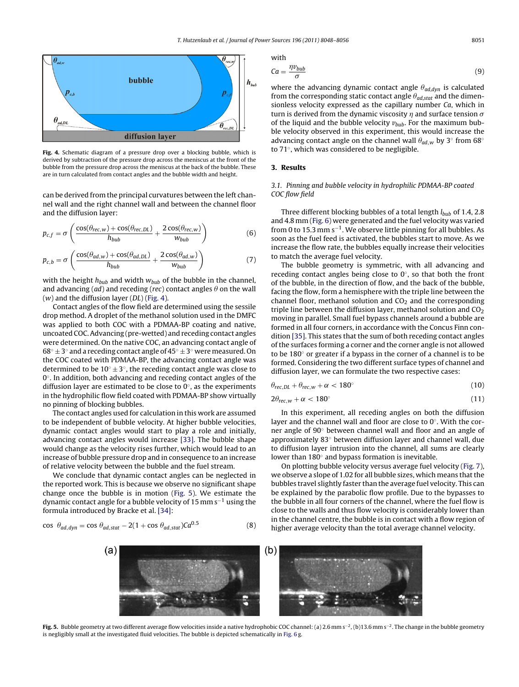<span id="page-3-0"></span>

**Fig. 4.** Schematic diagram of a pressure drop over a blocking bubble, which is derived by subtraction of the pressure drop across the meniscus at the front of the bubble from the pressure drop across the meniscus at the back of the bubble. These are in turn calculated from contact angles and the bubble width and height.

can be derived from the principal curvatures between the left channel wall and the right channel wall and between the channel floor and the diffusion layer:

$$
p_{c,f} = \sigma \left( \frac{\cos(\theta_{rec,w}) + \cos(\theta_{rec,DL})}{h_{bub}} + \frac{2\cos(\theta_{rec,w})}{w_{bub}} \right)
$$
(6)

$$
p_{c,b} = \sigma \left( \frac{\cos(\theta_{ad,w}) + \cos(\theta_{ad,DL})}{h_{bub}} + \frac{2\cos(\theta_{ad,w})}{w_{bub}} \right)
$$
(7)

with the height  $h_{bub}$  and width  $w_{bub}$  of the bubble in the channel, and advancing (ad) and receding (rec) contact angles  $\theta$  on the wall  $(w)$  and the diffusion layer  $(DL)$  (Fig. 4).

Contact angles of the flow field are determined using the sessile drop method. A droplet of the methanol solution used in the DMFC was applied to both COC with a PDMAA-BP coating and native, uncoated COC.Advancing (pre-wetted) and receding contact angles were determined. On the native COC, an advancing contact angle of 68◦ ± 3◦ and a receding contact angle of 45◦ ± 3◦ were measured. On the COC coated with PDMAA-BP, the advancing contact angle was determined to be  $10° ± 3°$ , the receding contact angle was close to 0◦. In addition, both advancing and receding contact angles of the diffusion layer are estimated to be close to  $0^\circ$ , as the experiments in the hydrophilic flow field coated with PDMAA-BP show virtually no pinning of blocking bubbles.

The contact angles used for calculation in this work are assumed to be independent of bubble velocity. At higher bubble velocities, dynamic contact angles would start to play a role and initially, advancing contact angles would increase [\[33\].](#page-8-0) The bubble shape would change as the velocity rises further, which would lead to an increase of bubble pressure drop and in consequence to an increase of relative velocity between the bubble and the fuel stream.

We conclude that dynamic contact angles can be neglected in the reported work. This is because we observe no significant shape change once the bubble is in motion (Fig. 5). We estimate the dynamic contact angle for a bubble velocity of 15 mm s<sup> $-1$ </sup> using the formula introduced by Bracke et al. [\[34\]:](#page-8-0)

$$
\cos \theta_{ad, dyn} = \cos \theta_{ad, stat} - 2(1 + \cos \theta_{ad, stat})Ca^{0.5}
$$
 (8)

with

$$
Ca = \frac{\eta v_{bub}}{\sigma} \tag{9}
$$

where the advancing dynamic contact angle  $\theta_{ad,dyn}$  is calculated from the corresponding static contact angle  $\theta_{ad,stat}$  and the dimensionless velocity expressed as the capillary number Ca, which in turn is derived from the dynamic viscosity  $\eta$  and surface tension  $\sigma$ of the liquid and the bubble velocity  $v_{buh}$ . For the maximum bubble velocity observed in this experiment, this would increase the advancing contact angle on the channel wall  $\theta_{ad,w}$  by 3° from 68° to 71◦, which was considered to be negligible.

#### **3. Results**

## 3.1. Pinning and bubble velocity in hydrophilic PDMAA-BP coated COC flow field

Three different blocking bubbles of a total length  $l_{bub}$  of 1.4, 2.8 and 4.8 mm [\(Fig.](#page-4-0) 6) were generated and the fuel velocity was varied from 0 to 15.3 mm  $s^{-1}$ . We observe little pinning for all bubbles. As soon as the fuel feed is activated, the bubbles start to move. As we increase the flow rate, the bubbles equally increase their velocities to match the average fuel velocity.

The bubble geometry is symmetric, with all advancing and receding contact angles being close to  $0^\circ$ , so that both the front of the bubble, in the direction of flow, and the back of the bubble, facing the flow, form a hemisphere with the triple line between the channel floor, methanol solution and  $CO<sub>2</sub>$  and the corresponding triple line between the diffusion layer, methanol solution and  $CO<sub>2</sub>$ moving in parallel. Small fuel bypass channels around a bubble are formed in all four corners, in accordance with the Concus Finn condition [\[35\].](#page-8-0) This states that the sum of both receding contact angles of the surfaces forming a corner and the corner angle is not allowed to be 180◦ or greater if a bypass in the corner of a channel is to be formed. Considering the two different surface types of channel and diffusion layer, we can formulate the two respective cases:

$$
\theta_{\text{rec},DL} + \theta_{\text{rec},w} + \alpha < 180^{\circ} \tag{10}
$$

$$
2\theta_{\text{rec},w} + \alpha < 180^{\circ} \tag{11}
$$

In this experiment, all receding angles on both the diffusion layer and the channel wall and floor are close to 0◦. With the corner angle of 90◦ between channel wall and floor and an angle of approximately 83◦ between diffusion layer and channel wall, due to diffusion layer intrusion into the channel, all sums are clearly lower than 180◦ and bypass formation is inevitable.

On plotting bubble velocity versus average fuel velocity [\(Fig.](#page-4-0) 7), we observe a slope of 1.02 for all bubble sizes, which means that the bubbles travel slightly faster than the average fuel velocity. This can be explained by the parabolic flow profile. Due to the bypasses to the bubble in all four corners of the channel, where the fuel flow is close to the walls and thus flow velocity is considerably lower than in the channel centre, the bubble is in contact with a flow region of higher average velocity than the total average channel velocity.



**Fig. 5.** Bubble geometry at two different average flow velocities inside a native hydrophobic COC channel: (a) 2.6 mm s−2, (b)13.6 mm s−2. The change in the bubble geometry is negligibly small at the investigated fluid velocities. The bubble is depicted schematically in [Fig.](#page-4-0) 6 g.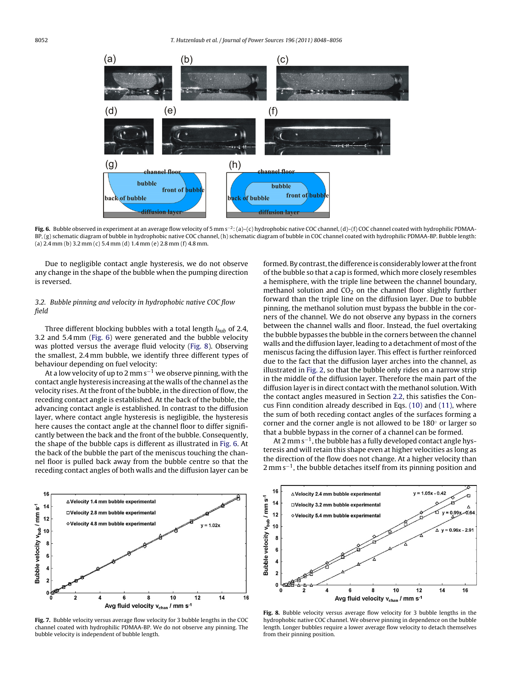<span id="page-4-0"></span>

**Fig. 6.** Bubble observed in experiment at an average flow velocity of 5 mm s−2: (a)–(c) hydrophobic native COC channel, (d)–(f) COC channel coated with hydrophilic PDMAA-BP, (g) schematic diagram of bubble in hydrophobic native COC channel, (h) schematic diagram of bubble in COC channel coated with hydrophilic PDMAA-BP. Bubble length: (a) 2.4 mm (b) 3.2 mm (c) 5.4 mm (d) 1.4 mm (e) 2.8 mm (f) 4.8 mm.

Due to negligible contact angle hysteresis, we do not observe any change in the shape of the bubble when the pumping direction is reversed.

## 3.2. Bubble pinning and velocity in hydrophobic native COC flow field

Three different blocking bubbles with a total length  $l_{bub}$  of 2.4, 3.2 and 5.4 mm (Fig. 6) were generated and the bubble velocity was plotted versus the average fluid velocity (Fig. 8). Observing the smallest, 2.4 mm bubble, we identify three different types of behaviour depending on fuel velocity:

At a low velocity of up to 2 mm s<sup> $-1$ </sup> we observe pinning, with the contact angle hysteresis increasing atthe walls ofthe channel as the velocity rises. At the front of the bubble, in the direction of flow, the receding contact angle is established. At the back of the bubble, the advancing contact angle is established. In contrast to the diffusion layer, where contact angle hysteresis is negligible, the hysteresis here causes the contact angle at the channel floor to differ significantly between the back and the front of the bubble. Consequently, the shape of the bubble caps is different as illustrated in Fig. 6. At the back of the bubble the part of the meniscus touching the channel floor is pulled back away from the bubble centre so that the receding contact angles of both walls and the diffusion layer can be



**Fig. 7.** Bubble velocity versus average flow velocity for 3 bubble lengths in the COC channel coated with hydrophilic PDMAA-BP. We do not observe any pinning. The bubble velocity is independent of bubble length.

formed. By contrast, the difference is considerably lower at the front of the bubble so that a cap is formed, which more closely resembles a hemisphere, with the triple line between the channel boundary, methanol solution and  $CO<sub>2</sub>$  on the channel floor slightly further forward than the triple line on the diffusion layer. Due to bubble pinning, the methanol solution must bypass the bubble in the corners of the channel. We do not observe any bypass in the corners between the channel walls and floor. Instead, the fuel overtaking the bubble bypasses the bubble in the corners between the channel walls and the diffusion layer, leading to a detachment of most of the meniscus facing the diffusion layer. This effect is further reinforced due to the fact that the diffusion layer arches into the channel, as illustrated in [Fig.](#page-2-0) 2, so that the bubble only rides on a narrow strip in the middle of the diffusion layer. Therefore the main part of the diffusion layer is in direct contact with the methanol solution. With the contact angles measured in Section [2.2,](#page-1-0) this satisfies the Concus Finn condition already described in Eqs. [\(10\)](#page-3-0) and [\(11\),](#page-3-0) where the sum of both receding contact angles of the surfaces forming a corner and the corner angle is not allowed to be 180◦ or larger so that a bubble bypass in the corner of a channel can be formed.

At 2 mm s<sup>-1</sup>, the bubble has a fully developed contact angle hysteresis and will retain this shape even at higher velocities as long as the direction of the flow does not change. At a higher velocity than 2 mm s<sup>-1</sup>, the bubble detaches itself from its pinning position and



**Fig. 8.** Bubble velocity versus average flow velocity for 3 bubble lengths in the hydrophobic native COC channel. We observe pinning in dependence on the bubble length. Longer bubbles require a lower average flow velocity to detach themselves from their pinning position.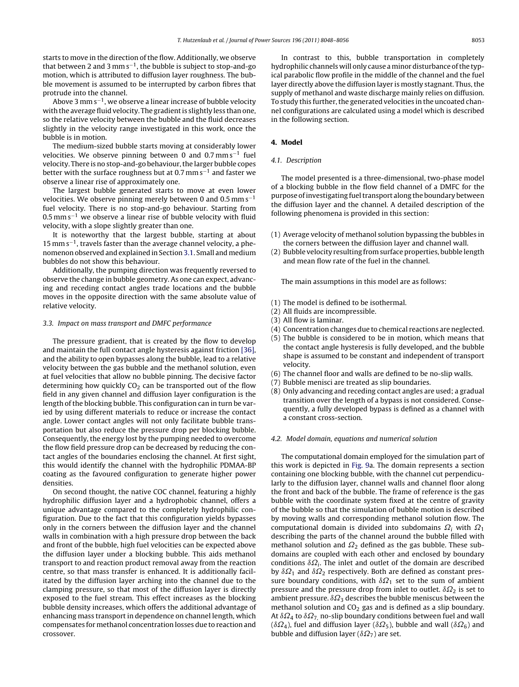<span id="page-5-0"></span>starts to move in the direction of the flow. Additionally, we observe that between 2 and 3 mm  $s^{-1}$ , the bubble is subject to stop-and-go motion, which is attributed to diffusion layer roughness. The bubble movement is assumed to be interrupted by carbon fibres that protrude into the channel.

Above 3 mm  $s^{-1}$ , we observe a linear increase of bubble velocity with the average fluid velocity. The gradient is slightly less than one, so the relative velocity between the bubble and the fluid decreases slightly in the velocity range investigated in this work, once the bubble is in motion.

The medium-sized bubble starts moving at considerably lower velocities. We observe pinning between 0 and  $0.7$  mm s<sup>-1</sup> fuel velocity. There is no stop-and-go behaviour, the larger bubble copes better with the surface roughness but at 0.7 mm s<sup> $-1$ </sup> and faster we observe a linear rise of approximately one.

The largest bubble generated starts to move at even lower velocities. We observe pinning merely between 0 and  $0.5$  mm s<sup>-1</sup> fuel velocity. There is no stop-and-go behaviour. Starting from  $0.5$  mm s<sup>-1</sup> we observe a linear rise of bubble velocity with fluid velocity, with a slope slightly greater than one.

It is noteworthy that the largest bubble, starting at about 15 mm s−1, travels faster than the average channel velocity, a phenomenon observed and explained in Section [3.1.](#page-3-0) Small and medium bubbles do not show this behaviour.

Additionally, the pumping direction was frequently reversed to observe the change in bubble geometry. As one can expect, advancing and receding contact angles trade locations and the bubble moves in the opposite direction with the same absolute value of relative velocity.

#### 3.3. Impact on mass transport and DMFC performance

The pressure gradient, that is created by the flow to develop and maintain the full contact angle hysteresis against friction [\[36\],](#page-8-0) and the ability to open bypasses along the bubble, lead to a relative velocity between the gas bubble and the methanol solution, even at fuel velocities that allow no bubble pinning. The decisive factor determining how quickly  $CO<sub>2</sub>$  can be transported out of the flow field in any given channel and diffusion layer configuration is the length of the blocking bubble. This configuration can in turn be varied by using different materials to reduce or increase the contact angle. Lower contact angles will not only facilitate bubble transportation but also reduce the pressure drop per blocking bubble. Consequently, the energy lost by the pumping needed to overcome the flow field pressure drop can be decreased by reducing the contact angles of the boundaries enclosing the channel. At first sight, this would identify the channel with the hydrophilic PDMAA-BP coating as the favoured configuration to generate higher power densities.

On second thought, the native COC channel, featuring a highly hydrophilic diffusion layer and a hydrophobic channel, offers a unique advantage compared to the completely hydrophilic configuration. Due to the fact that this configuration yields bypasses only in the corners between the diffusion layer and the channel walls in combination with a high pressure drop between the back and front of the bubble, high fuel velocities can be expected above the diffusion layer under a blocking bubble. This aids methanol transport to and reaction product removal away from the reaction centre, so that mass transfer is enhanced. It is additionally facilitated by the diffusion layer arching into the channel due to the clamping pressure, so that most of the diffusion layer is directly exposed to the fuel stream. This effect increases as the blocking bubble density increases, which offers the additional advantage of enhancing mass transport in dependence on channel length, which compensates for methanol concentration losses due to reaction and crossover.

In contrast to this, bubble transportation in completely hydrophilic channels will only cause aminor disturbance ofthe typical parabolic flow profile in the middle of the channel and the fuel layer directly above the diffusion layer is mostly stagnant. Thus, the supply of methanol and waste discharge mainly relies on diffusion. To study this further, the generated velocities in the uncoated channel configurations are calculated using a model which is described in the following section.

## **4. Model**

#### 4.1. Description

The model presented is a three-dimensional, two-phase model of a blocking bubble in the flow field channel of a DMFC for the purpose of investigating fuel transport along the boundary between the diffusion layer and the channel. A detailed description of the following phenomena is provided in this section:

- (1) Average velocity of methanol solution bypassing the bubbles in the corners between the diffusion layer and channel wall.
- (2) Bubble velocity resulting fromsurface properties, bubble length and mean flow rate of the fuel in the channel.

The main assumptions in this model are as follows:

- (1) The model is defined to be isothermal.
- (2) All fluids are incompressible.
- (3) All flow is laminar.
- (4) Concentration changes due to chemical reactions are neglected.
- (5) The bubble is considered to be in motion, which means that the contact angle hysteresis is fully developed, and the bubble shape is assumed to be constant and independent of transport velocity.
- (6) The channel floor and walls are defined to be no-slip walls.
- (7) Bubble menisci are treated as slip boundaries.
- (8) Only advancing and receding contact angles are used; a gradual transition over the length of a bypass is not considered. Consequently, a fully developed bypass is defined as a channel with a constant cross-section.

#### 4.2. Model domain, equations and numerical solution

The computational domain employed for the simulation part of this work is depicted in [Fig.](#page-6-0) 9a. The domain represents a section containing one blocking bubble, with the channel cut perpendicularly to the diffusion layer, channel walls and channel floor along the front and back of the bubble. The frame of reference is the gas bubble with the coordinate system fixed at the centre of gravity of the bubble so that the simulation of bubble motion is described by moving walls and corresponding methanol solution flow. The computational domain is divided into subdomains  $\Omega_i$  with  $\Omega_1$ describing the parts of the channel around the bubble filled with methanol solution and  $\Omega_2$  defined as the gas bubble. These subdomains are coupled with each other and enclosed by boundary conditions  $\delta\Omega_i$ . The inlet and outlet of the domain are described by  $\delta\Omega_1$  and  $\delta\Omega_2$  respectively. Both are defined as constant pressure boundary conditions, with  $\delta\Omega_1$  set to the sum of ambient pressure and the pressure drop from inlet to outlet.  $\delta\Omega_2$  is set to ambient pressure.  $\delta\Omega_3$  describes the bubble meniscus between the methanol solution and  $CO<sub>2</sub>$  gas and is defined as a slip boundary. At  $\delta\Omega_4$  to  $\delta\Omega_7$  no-slip boundary conditions between fuel and wall  $(\delta\Omega_4)$ , fuel and diffusion layer ( $\delta\Omega_5$ ), bubble and wall ( $\delta\Omega_6$ ) and bubble and diffusion layer ( $\delta\Omega_7$ ) are set.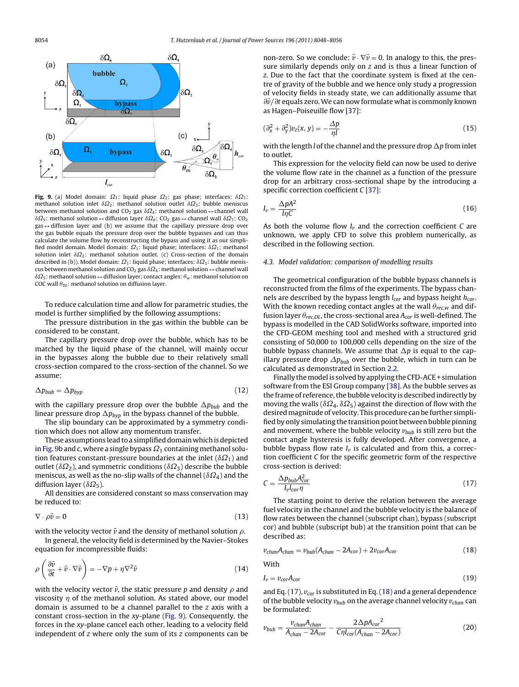<span id="page-6-0"></span>

Fig. 9. (a) Model domain:  $\Omega_1$ : liquid phase  $\Omega_2$ : gas phase; interfaces:  $\delta\Omega_1$ : methanol solution inlet  $\delta\Omega_2$ : methanol solution outlet  $\delta\Omega_3$ : bubble meniscus between methanol solution and CO<sub>2</sub> gas  $\delta\Omega_4$ : methanol solution  $\leftrightarrow$ channel wall  $\delta\Omega_5$ : methanol solution ↔ diffusion layer  $\delta\Omega_6$ : CO<sub>2</sub> gas ↔ channel wall  $\delta\Omega_7$ : CO<sub>2</sub>  $gas \leftrightarrow diffusion$  layer and (b) we assume that the capillary pressure drop over the gas bubble equals the pressure drop over the bubble bypasses and can thus calculate the volume flow by reconstructing the bypass and using it as our simplified model domain. Model domain:  $\Omega_1$ : liquid phase; interfaces:  $\delta\Omega_1$ : methanol solution inlet  $\delta\Omega_2$ : methanol solution outlet. (c) Cross-section of the domain described in (b)). Model domain:  $\Omega_1$ : liquid phase; interfaces:  $\delta\Omega_3$ : bubble meniscus between methanol solution and CO<sub>2</sub> gas  $\delta\Omega_4$ : methanol solution  $\leftrightarrow$  channel wall  $\delta\varOmega$ s: methanol solution ↔ diffusion layer; contact angles:  $\theta_w$ : methanol solution on COC wall  $\theta_{DL}$ : methanol solution on diffusion layer.

To reduce calculation time and allow for parametric studies, the model is further simplified by the following assumptions:

The pressure distribution in the gas within the bubble can be considered to be constant.

The capillary pressure drop over the bubble, which has to be matched by the liquid phase of the channel, will mainly occur in the bypasses along the bubble due to their relatively small cross-section compared to the cross-section of the channel. So we assume:

$$
\Delta p_{bub} = \Delta p_{byp} \tag{12}
$$

with the capillary pressure drop over the bubble  $\Delta p_{bub}$  and the linear pressure drop  $\Delta p_{\textit{hyp}}$  in the bypass channel of the bubble.

The slip boundary can be approximated by a symmetry condition which does not allow any momentum transfer.

These assumptions lead to a simplified domain which is depicted in Fig. 9b and c, where a single bypass  $\Omega_1$  containing methanol solution features constant-pressure boundaries at the inlet ( $\delta\Omega_1$ ) and outlet ( $\delta\Omega_2$ ), and symmetric conditions ( $\delta\Omega_3$ ) describe the bubble meniscus, as well as the no-slip walls of the channel ( $\delta\Omega_4$ ) and the diffusion layer ( $\delta\Omega_5$ ).

All densities are considered constant so mass conservation may be reduced to:

$$
\nabla \cdot \rho \vec{v} = 0 \tag{13}
$$

with the velocity vector  $\vec{\nu}$  and the density of methanol solution  $\rho.$ In general, the velocity field is determined by the Navier–Stokes

equation for incompressible fluids:  
\n
$$
\rho \left( \frac{\partial \vec{v}}{\partial t} + \vec{v} \cdot \nabla \vec{v} \right) = -\nabla p + \eta \nabla^2 \vec{v}
$$
\n(14)

with the velocity vector  $\vec{v}$ , the static pressure  $p$  and density  $\rho$  and viscosity  $\eta$  of the methanol solution. As stated above, our model domain is assumed to be a channel parallel to the z axis with a constant cross-section in the xy-plane (Fig. 9). Consequently, the forces in the xy-plane cancel each other, leading to a velocity field independent of z where only the sum of its z components can be

non-zero. So we conclude:  $\vec{v} \cdot \nabla \vec{v} = 0$ . In analogy to this, the pressure similarly depends only on z and is thus a linear function of z. Due to the fact that the coordinate system is fixed at the centre of gravity of the bubble and we hence only study a progression of velocity fields in steady state, we can additionally assume that ∂ $\partial v/\partial t$  equals zero. We can now formulate what is commonly known as Hagen–Poiseuille flow [\[37\]:](#page-8-0)

$$
(\partial_x^2 + \partial_y^2)v_z(x, y) = -\frac{\Delta p}{\eta l} \tag{15}
$$

with the length *l* of the channel and the pressure drop  $\Delta p$  from inlet to outlet.

This expression for the velocity field can now be used to derive the volume flow rate in the channel as a function of the pressure drop for an arbitrary cross-sectional shape by the introducing a specific correction coefficient C [\[37\]:](#page-8-0)

$$
I_v = \frac{\Delta p A^2}{l \eta C} \tag{16}
$$

As both the volume flow  $I_v$  and the correction coefficient  $C$  are unknown, we apply CFD to solve this problem numerically, as described in the following section.

#### 4.3. Model validation: comparison of modelling results

The geometrical configuration of the bubble bypass channels is reconstructed from the films of the experiments. The bypass channels are described by the bypass length  $l_{cor}$  and bypass height  $h_{cor}$ . With the known receding contact angles at the wall  $\theta_{rec,w}$  and diffusion layer  $\theta_{rec,DL}$ , the cross-sectional area  $A_{cor}$  is well-defined. The bypass is modelled in the CAD SolidWorks software, imported into the CFD-GEOM meshing tool and meshed with a structured grid consisting of 50,000 to 100,000 cells depending on the size of the bubble bypass channels. We assume that  $\Delta p$  is equal to the capillary pressure drop  $\Delta p_{bub}$  over the bubble, which in turn can be calculated as demonstrated in Section [2.2.](#page-1-0)

Finally the model is solved by applying the CFD-ACE + simulation software from the ESI Group company [\[38\].](#page-8-0) As the bubble serves as the frame of reference, the bubble velocity is described indirectly by moving the walls ( $\delta\Omega_4$ ,  $\delta\Omega_5$ ) against the direction of flow with the desired magnitude of velocity. This procedure can be further simplified by only simulating the transition point between bubble pinning and movement, where the bubble velocity  $v_{bub}$  is still zero but the contact angle hysteresis is fully developed. After convergence, a bubble bypass flow rate  $I_{\nu}$  is calculated and from this, a correction coefficient C for the specific geometric form of the respective cross-section is derived:

$$
C = \frac{\Delta p_{bub} A_{cor}^2}{I_{\nu} I_{cor} \eta} \tag{17}
$$

The starting point to derive the relation between the average fuel velocity in the channel and the bubble velocity is the balance of flow rates between the channel (subscript chan), bypass (subscript cor) and bubble (subscript bub) at the transition point that can be described as:

$$
v_{chan}A_{chan} = v_{bub}(A_{chan} - 2A_{cor}) + 2v_{cor}A_{cor}
$$
\n(18)

**With** 

$$
I_v = v_{cor} A_{cor} \tag{19}
$$

and Eq.  $(17)$ ,  $v_{cor}$  is substituted in Eq.  $(18)$  and a general dependence of the bubble velocity  $v_{bub}$  on the average channel velocity  $v_{chan}$  can be formulated:

$$
v_{bub} = \frac{v_{chan}A_{chan}}{A_{chan} - 2A_{cor}} - \frac{2\Delta pA_{cor}^2}{C\eta l_{cor}(A_{chan} - 2A_{cor})}
$$
(20)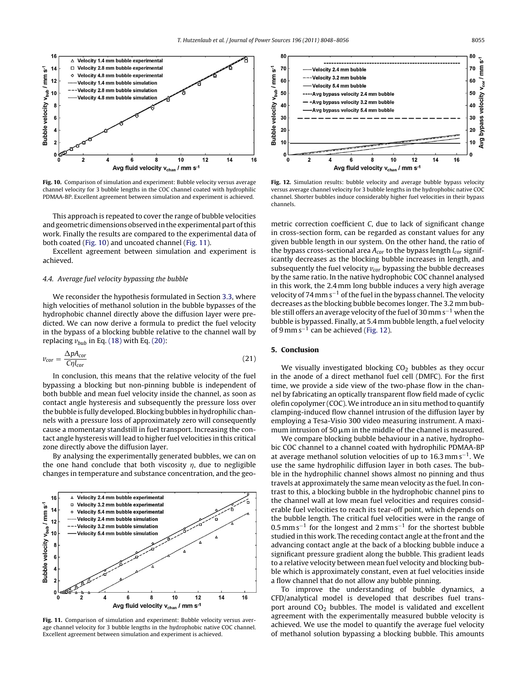

**Fig. 10.** Comparison of simulation and experiment: Bubble velocity versus average channel velocity for 3 bubble lengths in the COC channel coated with hydrophilic PDMAA-BP. Excellent agreement between simulation and experiment is achieved.

This approach is repeated to cover the range of bubble velocities and geometric dimensions observed in the experimental part of this work. Finally the results are compared to the experimental data of both coated (Fig. 10) and uncoated channel (Fig. 11).

Excellent agreement between simulation and experiment is achieved.

#### 4.4. Average fuel velocity bypassing the bubble

We reconsider the hypothesis formulated in Section [3.3,](#page-5-0) where high velocities of methanol solution in the bubble bypasses of the hydrophobic channel directly above the diffusion layer were predicted. We can now derive a formula to predict the fuel velocity in the bypass of a blocking bubble relative to the channel wall by replacing  $v_{bub}$  in Eq. [\(18\)](#page-6-0) with Eq. [\(20\):](#page-6-0)

$$
v_{cor} = \frac{\Delta p A_{cor}}{C \eta l_{cor}}
$$
 (21)

In conclusion, this means that the relative velocity of the fuel bypassing a blocking but non-pinning bubble is independent of both bubble and mean fuel velocity inside the channel, as soon as contact angle hysteresis and subsequently the pressure loss over the bubble is fully developed. Blocking bubbles in hydrophilic channels with a pressure loss of approximately zero will consequently cause a momentary standstill in fuel transport. Increasing the contact angle hysteresis will lead to higher fuel velocities in this critical zone directly above the diffusion layer.

By analysing the experimentally generated bubbles, we can on the one hand conclude that both viscosity  $\eta$ , due to negligible changes in temperature and substance concentration, and the geo-



**Fig. 11.** Comparison of simulation and experiment: Bubble velocity versus average channel velocity for 3 bubble lengths in the hydrophobic native COC channel. Excellent agreement between simulation and experiment is achieved.



**Fig. 12.** Simulation results: bubble velocity and average bubble bypass velocity versus average channel velocity for 3 bubble lengths in the hydrophobic native COC channel. Shorter bubbles induce considerably higher fuel velocities in their bypass channels.

metric correction coefficient C, due to lack of significant change in cross-section form, can be regarded as constant values for any given bubble length in our system. On the other hand, the ratio of the bypass cross-sectional area  $A_{cor}$  to the bypass length  $l_{cor}$  significantly decreases as the blocking bubble increases in length, and subsequently the fuel velocity  $v_{cor}$  bypassing the bubble decreases by the same ratio. In the native hydrophobic COC channel analysed in this work, the 2.4 mm long bubble induces a very high average velocity of 74 mm s−<sup>1</sup> of the fuel in the bypass channel. The velocity decreases as the blocking bubble becomes longer. The 3.2 mm bubble still offers an average velocity of the fuel of 30 mm s<sup>−1</sup> when the bubble is bypassed. Finally, at 5.4 mm bubble length, a fuel velocity of 9 mm s<sup> $-1$ </sup> can be achieved (Fig. 12).

## **5. Conclusion**

We visually investigated blocking  $CO<sub>2</sub>$  bubbles as they occur in the anode of a direct methanol fuel cell (DMFC). For the first time, we provide a side view of the two-phase flow in the channel by fabricating an optically transparent flow field made of cyclic olefin copolymer (COC).We introduce an in situ method to quantify clamping-induced flow channel intrusion of the diffusion layer by employing a Tesa-Visio 300 video measuring instrument. A maximum intrusion of 50  $\mu$ m in the middle of the channel is measured.

We compare blocking bubble behaviour in a native, hydrophobic COC channel to a channel coated with hydrophilic PDMAA-BP at average methanol solution velocities of up to 16.3 mm s<sup> $-1$ </sup>. We use the same hydrophilic diffusion layer in both cases. The bubble in the hydrophilic channel shows almost no pinning and thus travels at approximately the same mean velocity as the fuel. In contrast to this, a blocking bubble in the hydrophobic channel pins to the channel wall at low mean fuel velocities and requires considerable fuel velocities to reach its tear-off point, which depends on the bubble length. The critical fuel velocities were in the range of  $0.5$  mm s<sup>-1</sup> for the longest and 2 mm s<sup>-1</sup> for the shortest bubble studied in this work. The receding contact angle at the front and the advancing contact angle at the back of a blocking bubble induce a significant pressure gradient along the bubble. This gradient leads to a relative velocity between mean fuel velocity and blocking bubble which is approximately constant, even at fuel velocities inside a flow channel that do not allow any bubble pinning.

To improve the understanding of bubble dynamics, a CFD/analytical model is developed that describes fuel transport around  $CO<sub>2</sub>$  bubbles. The model is validated and excellent agreement with the experimentally measured bubble velocity is achieved. We use the model to quantify the average fuel velocity of methanol solution bypassing a blocking bubble. This amounts